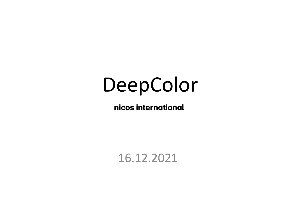# DeepColor

nicos international

16.12.2021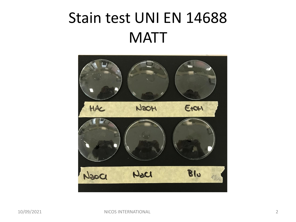### Stain test UNI EN 14688 **MATT**

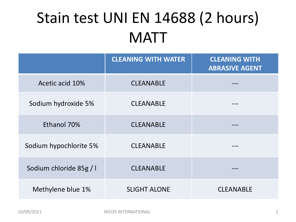# Stain test UNI EN 14688 (2 hours) **MATT**

|                         | <b>CLEANING WITH WATER</b> | <b>CLEANING WITH</b><br><b>ABRASIVE AGENT</b> |
|-------------------------|----------------------------|-----------------------------------------------|
| Acetic acid 10%         | <b>CLEANABLE</b>           |                                               |
| Sodium hydroxide 5%     | <b>CLEANABLE</b>           |                                               |
| Ethanol 70%             | <b>CLEANABLE</b>           |                                               |
| Sodium hypochlorite 5%  | <b>CLEANABLE</b>           |                                               |
| Sodium chloride 85g / I | <b>CLEANABLE</b>           |                                               |
| Methylene blue 1%       | <b>SLIGHT ALONE</b>        | <b>CLEANABLE</b>                              |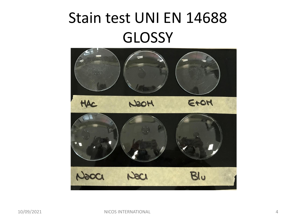# Stain test UNI EN 14688 **GLOSSY**

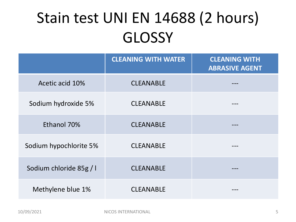# Stain test UNI EN 14688 (2 hours) **GLOSSY**

|                         | <b>CLEANING WITH WATER</b> | <b>CLEANING WITH</b><br><b>ABRASIVE AGENT</b> |
|-------------------------|----------------------------|-----------------------------------------------|
| Acetic acid 10%         | <b>CLEANABLE</b>           |                                               |
| Sodium hydroxide 5%     | <b>CLEANABLE</b>           |                                               |
| Ethanol 70%             | <b>CLEANABLE</b>           |                                               |
| Sodium hypochlorite 5%  | <b>CLEANABLE</b>           |                                               |
| Sodium chloride 85g / I | <b>CLEANABLE</b>           |                                               |
| Methylene blue 1%       | <b>CLEANABLE</b>           |                                               |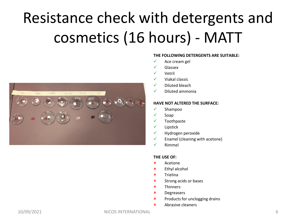# Resistance check with detergents and cosmetics (16 hours) - MATT



#### **THE FOLLOWING DETERGENTS ARE SUITABLE:**

- $\checkmark$  Ace cream gel
- ✓ Glassex
- ✓ Vetril
- ✓ Viakal classic
- $\checkmark$  Diluted bleach
- ✓ Diluted ammonia

#### **HAVE NOT ALTERED THE SURFACE:**

- ✓ Shampoo
- ✓ Soap
- ✓ Toothpaste
- ✓ Lipstick
- $\checkmark$  Hydrogen peroxide
- $\checkmark$  Enamel (cleaning with acetone)
- ✓ Rimmel

#### **THE USE OF:**

- Acetone
- Ethyl alcohol
- $x$  Trielina
- **x** Strong acids or bases
- **x** Thinners
- Degreasers
- **\*** Products for unclogging drains
- Abrasive cleaners

10/09/2021 NICOS INTERNATIONAL 6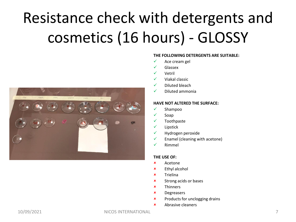# Resistance check with detergents and cosmetics (16 hours) - GLOSSY



#### **THE FOLLOWING DETERGENTS ARE SUITABLE:**

- $\checkmark$  Ace cream gel
- ✓ Glassex
- ✓ Vetril
- ✓ Viakal classic
- ✓ Diluted bleach
- ✓ Diluted ammonia

#### **HAVE NOT ALTERED THE SURFACE:**

- ✓ Shampoo
- ✓ Soap
- ✓ Toothpaste
- ✓ Lipstick
- ✓ Hydrogen peroxide
- $\checkmark$  Enamel (cleaning with acetone)
- ✓ Rimmel

#### **THE USE OF:**

- Acetone
- Ethyl alcohol
- $x$  Trielina
- **x** Strong acids or bases
- **x** Thinners
- Degreasers
- **\*** Products for unclogging drains
- Abrasive cleaners

10/09/2021 NICOS INTERNATIONAL 7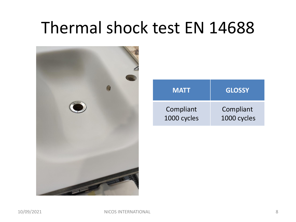# Thermal shock test EN 14688



| <b>MATT</b> | <b>GLOSSY</b> |
|-------------|---------------|
| Compliant   | Compliant     |
| 1000 cycles | 1000 cycles   |